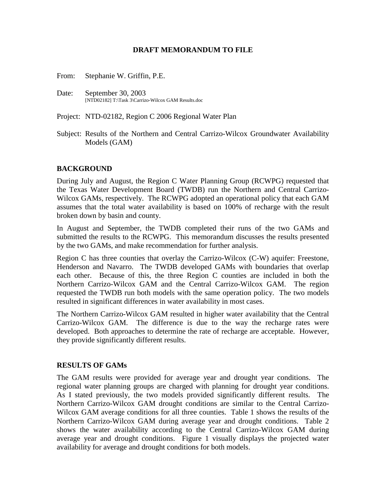## **DRAFT MEMORANDUM TO FILE**

From: Stephanie W. Griffin, P.E.

Date: September 30, 2003 [NTD02182] T:\Task 3\Carrizo-Wilcox GAM Results.doc

Project: NTD-02182, Region C 2006 Regional Water Plan

Subject: Results of the Northern and Central Carrizo-Wilcox Groundwater Availability Models (GAM)

## **BACKGROUND**

During July and August, the Region C Water Planning Group (RCWPG) requested that the Texas Water Development Board (TWDB) run the Northern and Central Carrizo-Wilcox GAMs, respectively. The RCWPG adopted an operational policy that each GAM assumes that the total water availability is based on 100% of recharge with the result broken down by basin and county.

In August and September, the TWDB completed their runs of the two GAMs and submitted the results to the RCWPG. This memorandum discusses the results presented by the two GAMs, and make recommendation for further analysis.

Region C has three counties that overlay the Carrizo-Wilcox (C-W) aquifer: Freestone, Henderson and Navarro. The TWDB developed GAMs with boundaries that overlap each other. Because of this, the three Region C counties are included in both the Northern Carrizo-Wilcox GAM and the Central Carrizo-Wilcox GAM. The region requested the TWDB run both models with the same operation policy. The two models resulted in significant differences in water availability in most cases.

The Northern Carrizo-Wilcox GAM resulted in higher water availability that the Central Carrizo-Wilcox GAM. The difference is due to the way the recharge rates were developed. Both approaches to determine the rate of recharge are acceptable. However, they provide significantly different results.

## **RESULTS OF GAMs**

The GAM results were provided for average year and drought year conditions. The regional water planning groups are charged with planning for drought year conditions. As I stated previously, the two models provided significantly different results. The Northern Carrizo-Wilcox GAM drought conditions are similar to the Central Carrizo-Wilcox GAM average conditions for all three counties. Table 1 shows the results of the Northern Carrizo-Wilcox GAM during average year and drought conditions. Table 2 shows the water availability according to the Central Carrizo-Wilcox GAM during average year and drought conditions. Figure 1 visually displays the projected water availability for average and drought conditions for both models.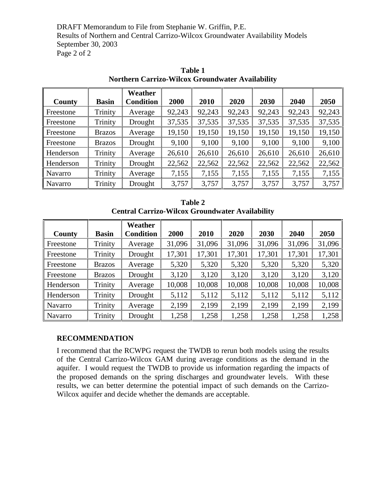DRAFT Memorandum to File from Stephanie W. Griffin, P.E. Results of Northern and Central Carrizo-Wilcox Groundwater Availability Models September 30, 2003 Page 2 of 2

|           |               | Weather          |        |             |        |        |        |        |
|-----------|---------------|------------------|--------|-------------|--------|--------|--------|--------|
| County    | <b>Basin</b>  | <b>Condition</b> | 2000   | <b>2010</b> | 2020   | 2030   | 2040   | 2050   |
| Freestone | Trinity       | Average          | 92,243 | 92,243      | 92,243 | 92,243 | 92,243 | 92,243 |
| Freestone | Trinity       | Drought          | 37,535 | 37,535      | 37,535 | 37,535 | 37,535 | 37,535 |
| Freestone | <b>Brazos</b> | Average          | 19,150 | 19,150      | 19,150 | 19,150 | 19,150 | 19,150 |
| Freestone | <b>Brazos</b> | Drought          | 9,100  | 9,100       | 9,100  | 9,100  | 9,100  | 9,100  |
| Henderson | Trinity       | Average          | 26,610 | 26,610      | 26,610 | 26,610 | 26,610 | 26,610 |
| Henderson | Trinity       | Drought          | 22,562 | 22,562      | 22,562 | 22,562 | 22,562 | 22,562 |
| Navarro   | Trinity       | Average          | 7,155  | 7,155       | 7,155  | 7,155  | 7,155  | 7,155  |
| Navarro   | Trinity       | Drought          | 3,757  | 3,757       | 3,757  | 3,757  | 3,757  | 3,757  |

**Table 1 Northern Carrizo-Wilcox Groundwater Availability** 

| Table 2                                                |  |  |  |  |  |  |
|--------------------------------------------------------|--|--|--|--|--|--|
| <b>Central Carrizo-Wilcox Groundwater Availability</b> |  |  |  |  |  |  |

|               |               | Weather          |        |        |        |        |        |        |
|---------------|---------------|------------------|--------|--------|--------|--------|--------|--------|
| <b>County</b> | <b>Basin</b>  | <b>Condition</b> | 2000   | 2010   | 2020   | 2030   | 2040   | 2050   |
| Freestone     | Trinity       | Average          | 31,096 | 31,096 | 31,096 | 31,096 | 31,096 | 31,096 |
| Freestone     | Trinity       | Drought          | 17,301 | 17,301 | 17,301 | 17,301 | 17,301 | 17,301 |
| Freestone     | <b>Brazos</b> | Average          | 5,320  | 5,320  | 5,320  | 5,320  | 5,320  | 5,320  |
| Freestone     | <b>Brazos</b> | Drought          | 3,120  | 3,120  | 3,120  | 3,120  | 3,120  | 3,120  |
| Henderson     | Trinity       | Average          | 10,008 | 10,008 | 10,008 | 10,008 | 10,008 | 10,008 |
| Henderson     | Trinity       | Drought          | 5,112  | 5,112  | 5,112  | 5,112  | 5,112  | 5,112  |
| Navarro       | Trinity       | Average          | 2,199  | 2,199  | 2,199  | 2,199  | 2,199  | 2,199  |
| Navarro       | Trinity       | Drought          | 1,258  | 1,258  | 1,258  | 1,258  | 1,258  | 1,258  |

## **RECOMMENDATION**

I recommend that the RCWPG request the TWDB to rerun both models using the results of the Central Carrizo-Wilcox GAM during average conditions as the demand in the aquifer. I would request the TWDB to provide us information regarding the impacts of the proposed demands on the spring discharges and groundwater levels. With these results, we can better determine the potential impact of such demands on the Carrizo-Wilcox aquifer and decide whether the demands are acceptable.